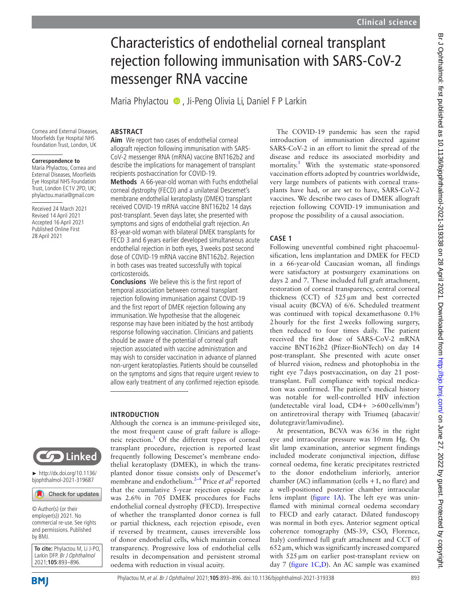# Characteristics of endothelial corneal transplant rejection following immunisation with SARS-CoV-2 messenger RNA vaccine

Maria Phylactou <sup>(16)</sup>, Ji-Peng Olivia Li, Daniel F P Larkin

Cornea and External Diseases, Moorfields Eye Hospital NHS Foundation Trust, London, UK

#### **Correspondence to**

Maria Phylactou, Cornea and External Diseases, Moorfields Eye Hospital NHS Foundation Trust, London EC1V 2PD, UK; phylactou.maria@gmail.com

Received 24 March 2021 Revised 14 April 2021 Accepted 16 April 2021 Published Online First 28 April 2021



► [http://dx.doi.org/10.1136/](http://dx.doi.org/10.1136/bjophthalmol-2021-319687) [bjophthalmol-2021-319687](http://dx.doi.org/10.1136/bjophthalmol-2021-319687)

Check for updates

© Author(s) (or their employer(s)) 2021. No commercial re-use. See rights and permissions. Published by BMJ.

**To cite:** Phylactou M, Li J-PO, Larkin DFP. Br J Ophthalmol 2021;**105**:893–896.



**Aim** We report two cases of endothelial corneal allograft rejection following immunisation with SARS-CoV-2 messenger RNA (mRNA) vaccine BNT162b2 and describe the implications for management of transplant recipients postvaccination for COVID-19.

**ABSTRACT**

**Methods** A 66-year-old woman with Fuchs endothelial corneal dystrophy (FECD) and a unilateral Descemet's membrane endothelial keratoplasty (DMEK) transplant received COVID-19 mRNA vaccine BNT162b2 14 days post-transplant. Seven days later, she presented with symptoms and signs of endothelial graft rejection. An 83-year-old woman with bilateral DMEK transplants for FECD 3 and 6 years earlier developed simultaneous acute endothelial rejection in both eyes, 3weeks post second dose of COVID-19 mRNA vaccine BNT162b2. Rejection in both cases was treated successfully with topical corticosteroids.

**Conclusions** We believe this is the first report of temporal association between corneal transplant rejection following immunisation against COVID-19 and the first report of DMEK rejection following any immunisation. We hypothesise that the allogeneic response may have been initiated by the host antibody response following vaccination. Clinicians and patients should be aware of the potential of corneal graft rejection associated with vaccine administration and may wish to consider vaccination in advance of planned non-urgent keratoplasties. Patients should be counselled on the symptoms and signs that require urgent review to allow early treatment of any confirmed rejection episode.

## **INTRODUCTION**

Although the cornea is an immune-privileged site, the most frequent cause of graft failure is alloge-neic rejection.<sup>[1](#page-3-0)</sup> Of the different types of corneal transplant procedure, rejection is reported least frequently following Descemet's membrane endothelial keratoplasty (DMEK), in which the transplanted donor tissue consists only of Descemet's membrane and endothelium.<sup>[2](#page-3-1)-4</sup> Price *et al*<sup>2</sup> reported that the cumulative 5-year rejection episode rate was 2.6% in 705 DMEK procedures for Fuchs endothelial corneal dystrophy (FECD). Irrespective of whether the transplanted donor cornea is full or partial thickness, each rejection episode, even if reversed by treatment, causes irreversible loss of donor endothelial cells, which maintain corneal transparency. Progressive loss of endothelial cells results in decompensation and persistent stromal oedema with reduction in visual acuity.

The COVID-19 pandemic has seen the rapid introduction of immunisation directed against SARS-CoV-2 in an effort to limit the spread of the disease and reduce its associated morbidity and mortality.<sup>[5](#page-3-2)</sup> With the systematic state-sponsored vaccination efforts adopted by countries worldwide, very large numbers of patients with corneal transplants have had, or are set to have, SARS-CoV-2 vaccines. We describe two cases of DMEK allograft rejection following COVID-19 immunisation and propose the possibility of a causal association.

## **CASE 1**

Following uneventful combined right phacoemulsification, lens implantation and DMEK for FECD in a 66-year-old Caucasian woman, all findings were satisfactory at postsurgery examinations on days 2 and 7. These included full graft attachment, restoration of corneal transparency, central corneal thickness (CCT) of 525µm and best corrected visual acuity (BCVA) of 6/6. Scheduled treatment was continued with topical dexamethasone 0.1% 2hourly for the first 2weeks following surgery, then reduced to four times daily. The patient received the first dose of SARS-CoV-2 mRNA vaccine BNT162b2 (Pfizer-BioNTech) on day 14 post-transplant. She presented with acute onset of blurred vision, redness and photophobia in the right eye 7days postvaccination, on day 21 posttransplant. Full compliance with topical medication was confirmed. The patient's medical history was notable for well-controlled HIV infection (undetectable viral load,  $CD4+ >600$  cells/mm<sup>3</sup>) on antiretroviral therapy with Triumeq (abacavir/ dolutegravir/lamivudine).

At presentation, BCVA was 6/36 in the right eye and intraocular pressure was 10mm Hg. On slit lamp examination, anterior segment findings included moderate conjunctival injection, diffuse corneal oedema, fine keratic precipitates restricted to the donor endothelium inferiorly, anterior chamber (AC) inflammation (cells  $+1$ , no flare) and a well-positioned posterior chamber intraocular lens implant [\(figure](#page-1-0) 1A). The left eye was uninflamed with minimal corneal oedema secondary to FECD and early cataract. Dilated funduscopy was normal in both eyes. Anterior segment optical coherence tomography (MS-39, CSO, Florence, Italy) confirmed full graft attachment and CCT of  $652 \mu m$ , which was significantly increased compared with 525 µm on earlier post-transplant review on day 7 ([figure](#page-1-0) 1C,D). An AC sample was examined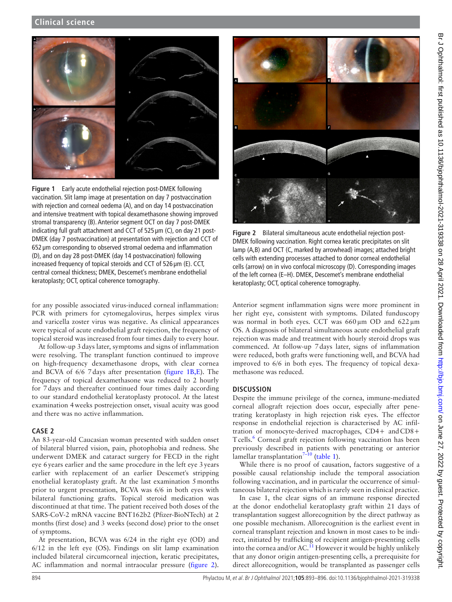

**Figure 1** Early acute endothelial rejection post-DMEK following vaccination. Slit lamp image at presentation on day 7 postvaccination with rejection and corneal oedema (A), and on day 14 postvaccination and intensive treatment with topical dexamethasone showing improved stromal transparency (B). Anterior segment OCT on day 7 post-DMEK indicating full graft attachment and CCT of 525 µm (C), on day 21 post-DMEK (day 7 postvaccination) at presentation with rejection and CCT of 652 µm corresponding to observed stromal oedema and inflammation (D), and on day 28 post-DMEK (day 14 postvaccination) following increased frequency of topical steroids and CCT of 526 µm (E). CCT, central corneal thickness; DMEK, Descemet's membrane endothelial keratoplasty; OCT, optical coherence tomography.

<span id="page-1-0"></span>for any possible associated virus-induced corneal inflammation: PCR with primers for cytomegalovirus, herpes simplex virus and varicella zoster virus was negative. As clinical appearances were typical of acute endothelial graft rejection, the frequency of topical steroid was increased from four times daily to every hour.

At follow-up 3days later, symptoms and signs of inflammation were resolving. The transplant function continued to improve on high-frequency dexamethasone drops, with clear cornea and BCVA of 6/6 7days after presentation [\(figure](#page-1-0) 1B,E). The frequency of topical dexamethasone was reduced to 2 hourly for 7days and thereafter continued four times daily according to our standard endothelial keratoplasty protocol. At the latest examination 4weeks postrejection onset, visual acuity was good and there was no active inflammation.

## **CASE 2**

An 83-year-old Caucasian woman presented with sudden onset of bilateral blurred vision, pain, photophobia and redness. She underwent DMEK and cataract surgery for FECD in the right eye 6years earlier and the same procedure in the left eye 3years earlier with replacement of an earlier Descemet's stripping enothelial keratoplasty graft. At the last examination 5months prior to urgent presentation, BCVA was 6/6 in both eyes with bilateral functioning grafts. Topical steroid medication was discontinued at that time. The patient received both doses of the SARS-CoV-2 mRNA vaccine BNT162b2 (Pfizer-BioNTech) at 2 months (first dose) and 3 weeks (second dose) prior to the onset of symptoms.

At presentation, BCVA was 6/24 in the right eye (OD) and 6/12 in the left eye (OS). Findings on slit lamp examination included bilateral circumcorneal injection, keratic precipitates, AC inflammation and normal intraocular pressure [\(figure](#page-1-1) 2).



**Figure 2** Bilateral simultaneous acute endothelial rejection post-DMEK following vaccination. Right cornea keratic precipitates on slit lamp (A,B) and OCT (C, marked by arrowhead) images; attached bright cells with extending processes attached to donor corneal endothelial cells (arrow) on in vivo confocal microscopy (D). Corresponding images of the left cornea (E–H). DMEK, Descemet's membrane endothelial keratoplasty; OCT, optical coherence tomography.

<span id="page-1-1"></span>Anterior segment inflammation signs were more prominent in her right eye, consistent with symptoms. Dilated funduscopy was normal in both eyes. CCT was 660µm OD and 622µm OS. A diagnosis of bilateral simultaneous acute endothelial graft rejection was made and treatment with hourly steroid drops was commenced. At follow-up 7days later, signs of inflammation were reduced, both grafts were functioning well, and BCVA had improved to 6/6 in both eyes. The frequency of topical dexamethasone was reduced.

## **DISCUSSION**

Despite the immune privilege of the cornea, immune-mediated corneal allograft rejection does occur, especially after penetrating keratoplasty in high rejection risk eyes. The effector response in endothelial rejection is characterised by AC infiltration of monocyte-derived macrophages, CD4+ andCD8+ Tcells.<sup>[6](#page-3-3)</sup> Corneal graft rejection following vaccination has been previously described in patients with penetrating or anterior lamellar transplantation $7-10$  [\(table](#page-2-0) 1).

While there is no proof of causation, factors suggestive of a possible causal relationship include the temporal association following vaccination, and in particular the occurrence of simultaneous bilateral rejection which is rarely seen in clinical practice.

In case 1, the clear signs of an immune response directed at the donor endothelial keratoplasty graft within 21 days of transplantation suggest allorecognition by the direct pathway as one possible mechanism. Allorecognition is the earliest event in corneal transplant rejection and known in most cases to be indirect, initiated by trafficking of recipient antigen-presenting cells into the cornea and/or AC.<sup>11</sup> However it would be highly unlikely that any donor origin antigen-presenting cells, a prerequisite for direct allorecognition, would be transplanted as passenger cells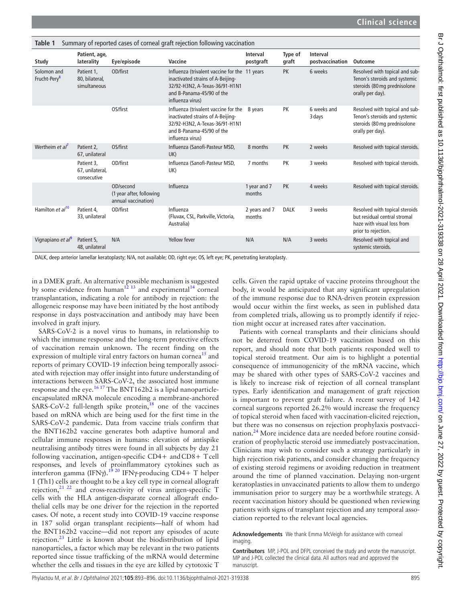<span id="page-2-0"></span>

| Summary of reported cases of corneal graft rejection following vaccination<br>Table 1 |                                              |                                                              |                                                                                                                                                                       |                         |                  |                                    |                                                                                                                     |
|---------------------------------------------------------------------------------------|----------------------------------------------|--------------------------------------------------------------|-----------------------------------------------------------------------------------------------------------------------------------------------------------------------|-------------------------|------------------|------------------------------------|---------------------------------------------------------------------------------------------------------------------|
| Study                                                                                 | Patient, age,<br>laterality                  | Eye/episode                                                  | Vaccine                                                                                                                                                               | Interval<br>postgraft   | Type of<br>graft | <b>Interval</b><br>postvaccination | Outcome                                                                                                             |
| Solomon and<br>Frucht-Pery <sup>8</sup>                                               | Patient 1,<br>80, bilateral,<br>simultaneous | OD/first                                                     | Influenza (trivalent vaccine for the 11 years<br>inactivated strains of A-Beijing-<br>32/92-H3N2, A-Texas-36/91-H1N1<br>and B-Panama-45/90 of the<br>influenza virus) |                         | <b>PK</b>        | 6 weeks                            | Resolved with topical and sub-<br>Tenon's steroids and systemic<br>steroids (80 mg prednisolone<br>orally per day). |
|                                                                                       |                                              | OS/first                                                     | Influenza (trivalent vaccine for the 8 years<br>inactivated strains of A-Beijing-<br>32/92-H3N2, A-Texas-36/91-H1N1<br>and B-Panama-45/90 of the<br>influenza virus)  |                         | PK               | 6 weeks and<br>3 days              | Resolved with topical and sub-<br>Tenon's steroids and systemic<br>steroids (80 mg prednisolone<br>orally per day). |
| Wertheim et al <sup>7</sup>                                                           | Patient 2.<br>67, unilateral                 | OS/first                                                     | Influenza (Sanofi-Pasteur MSD,<br>UK)                                                                                                                                 | 8 months                | <b>PK</b>        | 2 weeks                            | Resolved with topical steroids.                                                                                     |
|                                                                                       | Patient 3.<br>67, unilateral,<br>consecutive | OD/first                                                     | Influenza (Sanofi-Pasteur MSD.<br>UK)                                                                                                                                 | 7 months                | <b>PK</b>        | 3 weeks                            | Resolved with topical steroids.                                                                                     |
|                                                                                       |                                              | OD/second<br>(1 year after, following<br>annual vaccination) | Influenza                                                                                                                                                             | 1 year and 7<br>months  | <b>PK</b>        | 4 weeks                            | Resolved with topical steroids.                                                                                     |
| Hamilton et al <sup>10</sup>                                                          | Patient 4.<br>33, unilateral                 | OD/first                                                     | Influenza<br>(Fluvax, CSL, Parkville, Victoria,<br>Australia)                                                                                                         | 2 years and 7<br>months | <b>DALK</b>      | 3 weeks                            | Resolved with topical steroids<br>but residual central stromal<br>haze with visual loss from<br>prior to rejection. |
| Vignapiano et al <sup>9</sup>                                                         | Patient 5,<br>48, unilateral                 | N/A                                                          | Yellow fever                                                                                                                                                          | N/A                     | N/A              | 3 weeks                            | Resolved with topical and<br>systemic steroids.                                                                     |

DALK, deep anterior lamellar keratoplasty; N/A, not available; OD, right eye; OS, left eye; PK, penetrating keratoplasty.

in a DMEK graft. An alternative possible mechanism is suggested by some evidence from human<sup>12 13</sup> and experimental<sup>14</sup> corneal transplantation, indicating a role for antibody in rejection: the allogeneic response may have been initiated by the host antibody response in days postvaccination and antibody may have been involved in graft injury.

SARS-CoV-2 is a novel virus to humans, in relationship to which the immune response and the long-term protective effects of vaccination remain unknown. The recent finding on the expression of multiple viral entry factors on human cornea<sup>[15](#page-3-8)</sup> and reports of primary COVID-19 infection being temporally associated with rejection may offer insight into future understanding of interactions between SARS-CoV-2, the associated host immune response and the eye.<sup>1617</sup> The BNT162b2 is a lipid nanoparticleencapsulated mRNA molecule encoding a membrane-anchored SARS-CoV-2 full-length spike protein, $18$  one of the vaccines based on mRNA which are being used for the first time in the SARS-CoV-2 pandemic. Data from vaccine trials confirm that the BNT162b2 vaccine generates both adaptive humoral and cellular immune responses in humans: elevation of antispike neutralising antibody titres were found in all subjects by day 21 following vaccination, antigen-specific CD4+ andCD8+ Tcell responses, and levels of proinflammatory cytokines such as interferon gamma  $(IFN\gamma)$ .<sup>[19 20](#page-3-11)</sup> IFNγ-producing CD4+ T helper 1 (Th1) cells are thought to be a key cell type in corneal allograft rejection, $21$   $22$  and cross-reactivity of virus antigen-specific T cells with the HLA antigen-disparate corneal allograft endothelial cells may be one driver for the rejection in the reported cases. Of note, a recent study into COVID-19 vaccine response in 187 solid organ transplant recipients—half of whom had the BNT162b2 vaccine—did not report any episodes of acute rejection.<sup>23</sup> Little is known about the biodistribution of lipid nanoparticles, a factor which may be relevant in the two patients reported since tissue trafficking of the mRNA would determine whether the cells and tissues in the eye are killed by cytotoxic T

cells. Given the rapid uptake of vaccine proteins throughout the body, it would be anticipated that any significant upregulation of the immune response due to RNA-driven protein expression would occur within the first weeks, as seen in published data from completed trials, allowing us to promptly identify if rejection might occur at increased rates after vaccination.

Patients with corneal transplants and their clinicians should not be deterred from COVID-19 vaccination based on this report, and should note that both patients responded well to topical steroid treatment. Our aim is to highlight a potential consequence of immunogenicity of the mRNA vaccine, which may be shared with other types of SARS-CoV-2 vaccines and is likely to increase risk of rejection of all corneal transplant types. Early identification and management of graft rejection is important to prevent graft failure. A recent survey of 142 corneal surgeons reported 26.2% would increase the frequency of topical steroid when faced with vaccination-elicited rejection, but there was no consensus on rejection prophylaxis postvaccination.<sup>24</sup> More incidence data are needed before routine consideration of prophylactic steroid use immediately postvaccination. Clinicians may wish to consider such a strategy particularly in high rejection risk patients, and consider changing the frequency of existing steroid regimens or avoiding reduction in treatment around the time of planned vaccination. Delaying non-urgent keratoplasties in unvaccinated patients to allow them to undergo immunisation prior to surgery may be a worthwhile strategy. A recent vaccination history should be questioned when reviewing patients with signs of transplant rejection and any temporal association reported to the relevant local agencies.

#### **Acknowledgements** We thank Emma McVeigh for assistance with corneal imaging

**Contributors** MP, J-POL and DFPL conceived the study and wrote the manuscript. MP and J-POL collected the clinical data. All authors read and approved the manuscript.